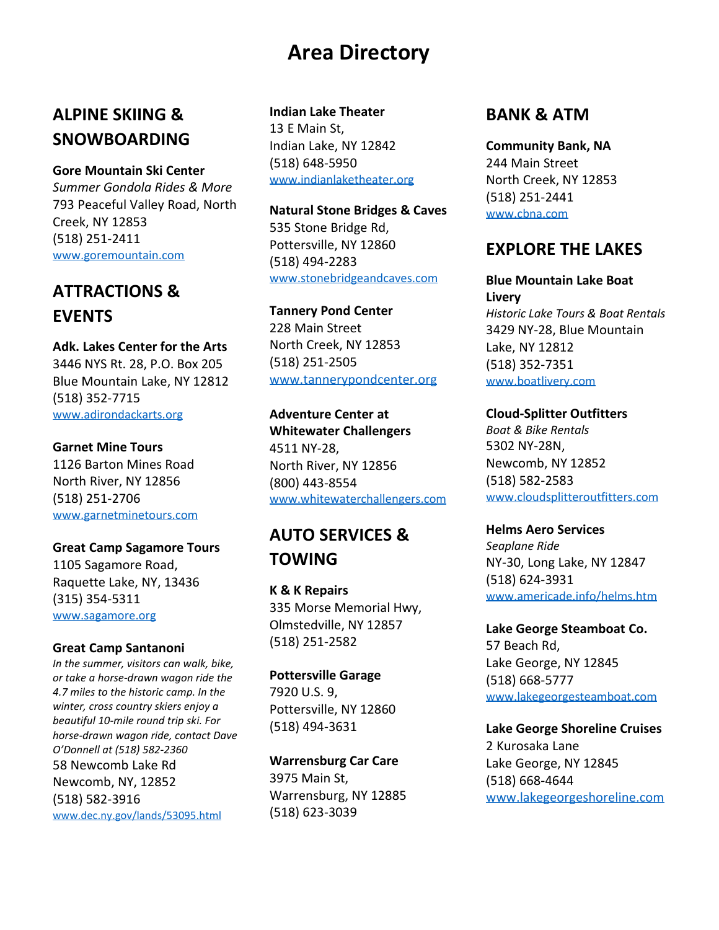# **Area Directory**

# **ALPINE SKIING & SNOWBOARDING**

### **Gore Mountain Ski Center**

*Summer Gondola Rides & More* 793 Peaceful Valley Road, North Creek, NY 12853 (518) 251-2411 www.goremountain.com

# **ATTRACTIONS &**

**Adk. Lakes Center for the Arts** 3446 NYS Rt. 28, P.O. Box 205 Blue Mountain Lake, NY 12812 (518) 352-7715 www.adirondackarts.org **Adventure Center at**

### **Garnet Mine Tours**

1126 Barton Mines Road North River, NY 12856 www.garnetminetours.com

**Great Camp Sagamore Tours** 1105 Sagamore Road, Raquette Lake, NY, 13436

### www.sagamore.org

### **Great Camp Santanoni**

*In the summer, visitors can walk, bike, or take a horse-drawn wagon ride the 4.7 miles to the historic camp. In the winter, cross country skiers enjoy a beautiful 10-mile round trip ski. For horse-drawn wagon ride, contact Dave O'Donnell at (518) 582-2360* 58 Newcomb Lake Rd Newcomb, NY, 12852 (518) 582-3916 www.dec.ny.gov/lands/53095.html

### **Indian Lake Theater** 13 E Main St,

Indian Lake, NY 12842 (518) 648-5950 www.indianlaketheater.org

# **Natural Stone Bridges & Caves** 535 Stone Bridge Rd, Pottersville, NY 12860 (518) 494-2283

**EVENTS Tannery Pond Center** 228 Main Street North Creek, NY 12853 (518) 251-2505 www.tannerypondcenter.org www.boatlivery.com

**Whitewater Challengers** 4511 NY-28, North River, NY 12856 (800) 443-8554 (518) 251-2706 www.whitewaterchallengers.com

# **AUTO SERVICES & TOWING**

335 Morse Memorial Hwy, Olmstedville, NY 12857 (518) 251-2582

**Pottersville Garage** 7920 U.S. 9, Pottersville, NY 12860 (518) 494-3631

**Warrensburg Car Care** 3975 Main St, Warrensburg, NY 12885 (518) 623-3039

### **BANK & ATM**

**Community Bank, NA** 244 Main Street North Creek, NY 12853 (518) 251-2441 www.cbna.com

# **EXPLORE THE LAKES**

### www.stonebridgeandcaves.com **Blue Mountain Lake Boat Livery**

*Historic Lake Tours & Boat Rentals* 3429 NY-28, Blue Mountain Lake, NY 12812 (518) 352-7351

**Cloud-Splitter Outfitters** *Boat & Bike Rentals*

5302 NY-28N, Newcomb, NY 12852 (518) 582-2583 www.cloudsplitteroutfitters.com

### **Helms Aero Services**

*Seaplane Ride* NY-30, Long Lake, NY 12847 (518) 624-3931 (315) 354-5311 **<sup>K</sup> & K Repairs** www.americade.info/helms.htm

> **Lake George Steamboat Co.** 57 Beach Rd, Lake George, NY 12845 (518) 668-5777 www.lakegeorgesteamboat.com

**Lake George Shoreline Cruises** 2 Kurosaka Lane Lake George, NY 12845 (518) 668-4644 www.lakegeorgeshoreline.com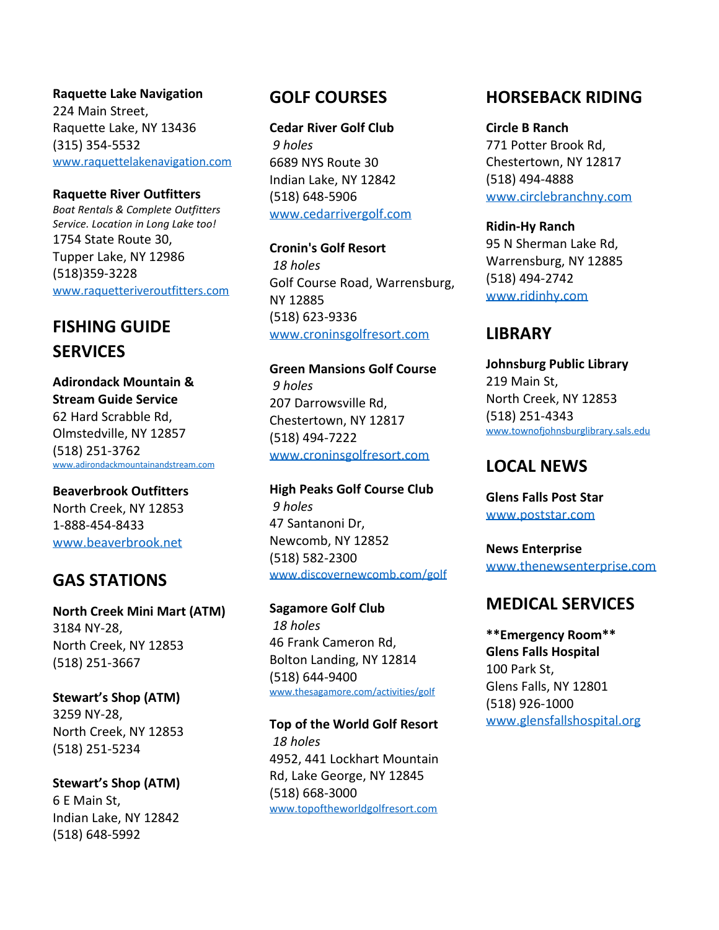**Raquette Lake Navigation** 224 Main Street, Raquette Lake, NY 13436 (315) 354-5532 www.raquettelakenavigation.com

**Raquette River Outfitters** *Boat Rentals & Complete Outfitters Service. Location in Long Lake too!* 1754 State Route 30, Tupper Lake, NY 12986 (518)359-3228

# **SERVICES**

**Adirondack Mountain & Stream Guide Service** 62 Hard Scrabble Rd, Olmstedville, NY 12857 (518) 251-3762 www.adirondackmountainandstream.com

**Beaverbrook Outfitters** North Creek, NY 12853 1-888-454-8433

# **GAS STATIONS**

**North Creek Mini Mart (ATM)** 3184 NY-28, North Creek, NY 12853 (518) 251-3667

**Stewart's Shop (ATM)** 3259 NY-28, North Creek, NY 12853 (518) 251-5234

**Stewart's Shop (ATM)** 6 E Main St, Indian Lake, NY 12842 (518) 648-5992

**Cedar River Golf Club** *9 holes* 6689 NYS Route 30 Indian Lake, NY 12842 (518) 648-5906 www.cedarrivergolf.com

**Cronin's Golf Resort** *18 holes* Golf Course Road, Warrensburg, NY 12885 www.raquetteriveroutfitters.com www.ridinhy.com NV 12885 (518) 623-9336 www.croninsgolfresort.com **FISHING GUIDE**

> **Green Mansions Golf Course** *9 holes* 207 Darrowsville Rd, Chestertown, NY 12817 (518) 494-7222 www.croninsgolfresort.com

**High Peaks Golf Course Club** *9 holes* 47 Santanoni Dr, Newcomb, NY 12852 (518) 582-2300 www.discovernewcomb.com/golf www.beaverbrook.net **News Enterprise**

> *18 holes* 46 Frank Cameron Rd, Bolton Landing, NY 12814 (518) 644-9400 www.thesagamore.com/activities/golf

*18 holes* 4952, 441 Lockhart Mountain Rd, Lake George, NY 12845 (518) 668-3000 www.topoftheworldgolfresort.com

# **GOLF COURSES HORSEBACK RIDING**

**Circle B Ranch** 771 Potter Brook Rd, Chestertown, NY 12817 (518) 494-4888 www.circlebranchny.com

**Ridin-Hy Ranch** 95 N Sherman Lake Rd, Warrensburg, NY 12885 (518) 494-2742

# **LIBRARY**

**Johnsburg Public Library** 219 Main St, North Creek, NY 12853 (518) 251-4343 www.townofjohnsburglibrary.sals.edu

# **LOCAL NEWS**

**Glens Falls Post Star** www.poststar.com

www.thenewsenterprise.com

# **Sagamore Golf Club MEDICAL SERVICES**

**\*\*Emergency Room\*\* Glens Falls Hospital** 100 Park St, Glens Falls, NY 12801 (518) 926-1000 www.glensfallshospital.org **Top of the World Golf Resort**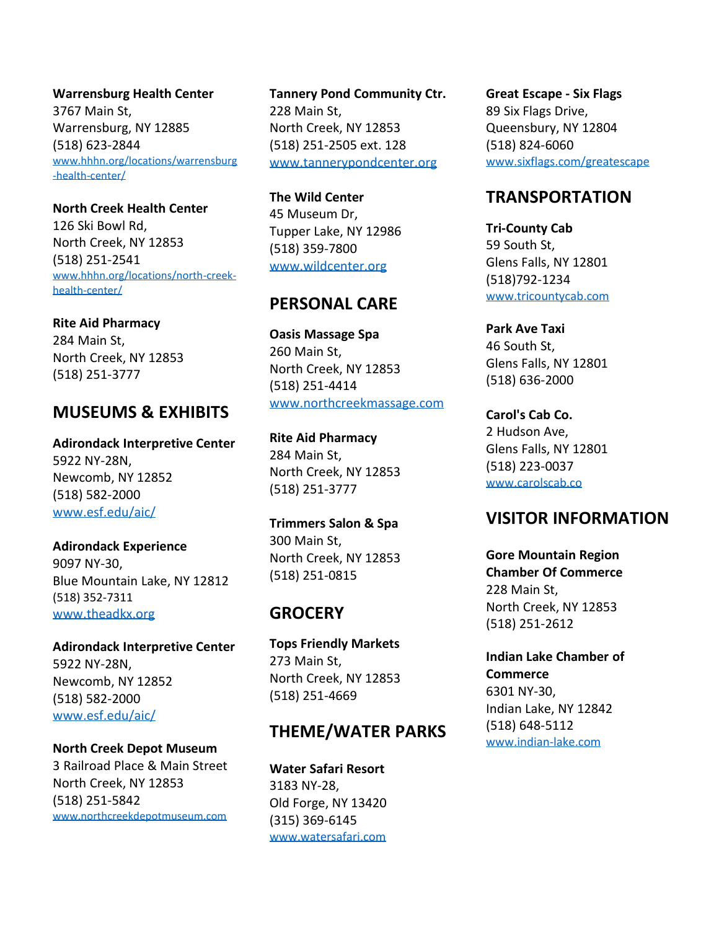**Warrensburg Health Center** 3767 Main St, Warrensburg, NY 12885 (518) 623-2844 www.hhhn.org/locations/warrensburg -health-center/

**North Creek Health Center** 126 Ski Bowl Rd, North Creek, NY 12853 (518) 251-2541 www.hhhn.org/locations/north-creekhealth-center/

**Rite Aid Pharmacy** 284 Main St, North Creek, NY 12853 (518) 251-3777

# www.northcreekmassage.com **MUSEUMS & EXHIBITS Carol's Cab Co.**

**Adirondack Interpretive Center** 5922 NY-28N, Newcomb, NY 12852 (518) 582-2000 www.esf.edu/aic/

**Adirondack Experience** 9097 NY-30, Blue Mountain Lake, NY 12812 (518) 352-7311 www.theadkx.org

**Adirondack Interpretive Center** 5922 NY-28N, Newcomb, NY 12852 (518) 582-2000 www.esf.edu/aic/

**North Creek Depot Museum** 3 Railroad Place & Main Street North Creek, NY 12853 (518) 251-5842 www.northcreekdepotmuseum.com

**Tannery Pond Community Ctr.** 228 Main St, North Creek, NY 12853 (518) 251-2505 ext. 128 www.tannerypondcenter.org

45 Museum Dr, Tupper Lake, NY 12986 (518) 359-7800 www.wildcenter.org

**Oasis Massage Spa** 260 Main St, North Creek, NY 12853 (518) 251-4414

**Rite Aid Pharmacy** 284 Main St, North Creek, NY 12853 (518) 251-3777

300 Main St, North Creek, NY 12853 (518) 251-0815

### **GROCERY**

**Tops Friendly Markets** 273 Main St, North Creek, NY 12853 (518) 251-4669

### **THEME/WATER PARKS**

**Water Safari Resort** 3183 NY-28, Old Forge, NY 13420 (315) 369-6145 www.watersafari.com

**Great Escape - Six Flags** 89 Six Flags Drive, Queensbury, NY 12804 (518) 824-6060 www.sixflags.com/greatescape

### **The Wild Center TRANSPORTATION**

**Tri-County Cab** 59 South St, Glens Falls, NY 12801 (518)792-1234 www.tricountycab.com **PERSONAL CARE**

> **Park Ave Taxi** 46 South St, Glens Falls, NY 12801 (518) 636-2000

> 2 Hudson Ave, Glens Falls, NY 12801 (518) 223-0037 www.carolscab.co

# **Trimmers Salon & Spa VISITOR INFORMATION**

**Gore Mountain Region Chamber Of Commerce** 228 Main St, North Creek, NY 12853 (518) 251-2612

**Indian Lake Chamber of Commerce** 6301 NY-30, Indian Lake, NY 12842 (518) 648-5112 www.indian-lake.com